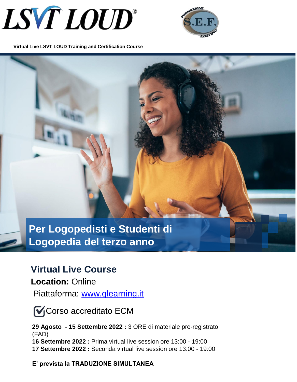



**Virtual Live LSVT LOUD Training and Certification Course** 

**Per Logopedisti e Studenti di Logopedia del terzo anno** 

# **Virtual Live Course**

**Location:** Online

Piattaforma: [www.qlearning.it](http://www.qlearning.it/)

**V**Corso accreditato ECM

**29 Agosto - 15 Settembre 2022 :** 3 ORE di materiale pre-registrato (FAD) **16 Settembre 2022 :** Prima virtual live session ore 13:00 - 19:00 **17 Settembre 2022 :** Seconda virtual live session ore 13:00 - 19:00

*:*

**E' prevista la TRADUZIONE SIMULTANEA**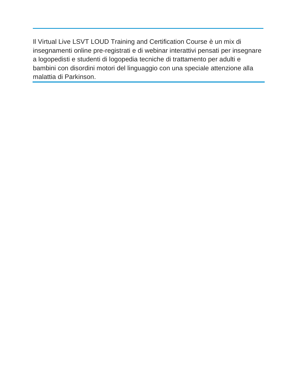Il Virtual Live LSVT LOUD Training and Certification Course è un mix di insegnamenti online pre-registrati e di webinar interattivi pensati per insegnare a logopedisti e studenti di logopedia tecniche di trattamento per adulti e bambini con disordini motori del linguaggio con una speciale attenzione alla malattia di Parkinson.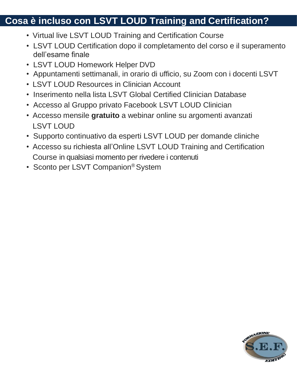# **Cosa è incluso con LSVT LOUD Training and Certification?**

- Virtual live LSVT LOUD Training and Certification Course
- LSVT LOUD Certification dopo il completamento del corso e il superamento dell'esame finale
- LSVT LOUD Homework Helper DVD
- Appuntamenti settimanali, in orario di ufficio, su Zoom con i docenti LSVT
- LSVT LOUD Resources in Clinician Account
- Inserimento nella lista LSVT Global Certified Clinician Database
- Accesso al Gruppo privato Facebook LSVT LOUD Clinician
- Accesso mensile **gratuito** a webinar online su argomenti avanzati LSVT LOUD
- Supporto continuativo da esperti LSVT LOUD per domande cliniche
- Accesso su richiesta all'Online LSVT LOUD Training and Certification Course in qualsiasi momento per rivedere i contenuti
- Sconto per LSVT Companion<sup>®</sup> System

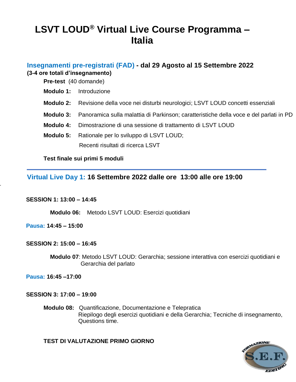# **LSVT LOUD® Virtual Live Course Programma – Italia**

## **Insegnamenti pre-registrati (FAD) - dal 29 Agosto al 15 Settembre 2022 (3-4 ore totali d'insegnamento)**

**Pre-test** (40 domande)

- **Modulo 1:** Introduzione
- **Modulo 2:** Revisione della voce nei disturbi neurologici; LSVT LOUD concetti essenziali
- **Modulo 3:** Panoramica sulla malattia di Parkinson; caratteristiche della voce e del parlati in PD
- **Modulo 4:** Dimostrazione di una sessione di trattamento di LSVT LOUD
- **Modulo 5:** Rationale per lo sviluppo di LSVT LOUD; Recenti risultati di ricerca LSVT

#### **Test finale sui primi 5 moduli**

# **Virtual Live Day 1: 16 Settembre 2022 dalle ore 13:00 alle ore 19:00**

#### **SESSION 1: 13:00 – 14:45**

 **Modulo 06:** Metodo LSVT LOUD: Esercizi quotidiani

**Pausa: 14:45 – 15:00**

*.*

#### **SESSION 2: 15:00 – 16:45**

 **Modulo 07**: Metodo LSVT LOUD: Gerarchia; sessione interattiva con esercizi quotidiani e Gerarchia del parlato

**Pausa: 16:45 –17:00** 

#### **SESSION 3: 17:00 – 19:00**

**Modulo 08:** Quantificazione, Documentazione e Telepratica Riepilogo degli esercizi quotidiani e della Gerarchia; Tecniche di insegnamento, Questions time.

### **TEST DI VALUTAZIONE PRIMO GIORNO**

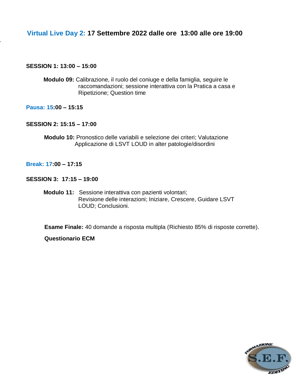# **Virtual Live Day 2: 17 Settembre 2022 dalle ore 13:00 alle ore 19:00**

#### **SESSION 1: 13:00 – 15:00**

*.*

**Modulo 09:** Calibrazione, il ruolo del coniuge e della famiglia, seguire le raccomandazioni; sessione interattiva con la Pratica a casa e Ripetizione; Question time

**Pausa: 15:00 – 15:15** 

#### **SESSION 2: 15:15 – 17:00**

 **Modulo 10:** Pronostico delle variabili e selezione dei criteri; Valutazione Applicazione di LSVT LOUD in alter patologie/disordini

**Break: 17:00 – 17:15** 

#### **SESSION 3: 17:15 – 19:00**

**Modulo 11:** Sessione interattiva con pazienti volontari; Revisione delle interazioni; Iniziare, Crescere, Guidare LSVT LOUD; Conclusioni.

**Esame Finale:** 40 domande a risposta multipla (Richiesto 85% di risposte corrette).

**Questionario ECM**

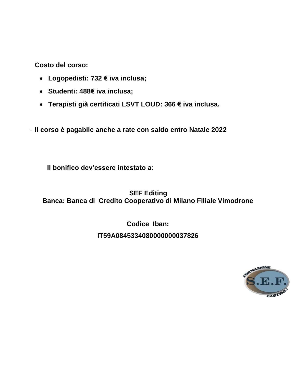**Costo del corso:** 

- **Logopedisti: 732 € iva inclusa;**
- **Studenti: 488€ iva inclusa;**
- **Terapisti già certificati LSVT LOUD: 366 € iva inclusa.**
- **Il corso è pagabile anche a rate con saldo entro Natale 2022**

**Il bonifico dev'essere intestato a:**

 **SEF Editing Banca: Banca di Credito Cooperativo di Milano Filiale Vimodrone**

> **Codice Iban: IT59A0845334080000000037826**

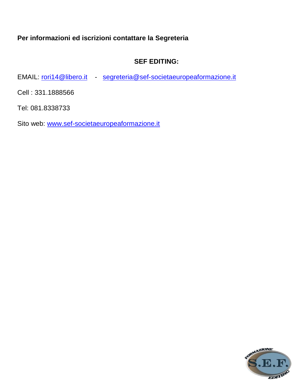# **Per informazioni ed iscrizioni contattare la Segreteria**

# **SEF EDITING:**

EMAIL: [rori14@libero.it](mailto:rori14@libero.it) - [segreteria@sef-societaeuropeaformazione.it](mailto:segreteria@sef-societaeuropeaformazione.it)

Cell : 331.1888566

Tel: 081.8338733

Sito web: [www.sef-societaeuropeaformazione.it](http://www.sef-societaeuropeaformazione.it/)